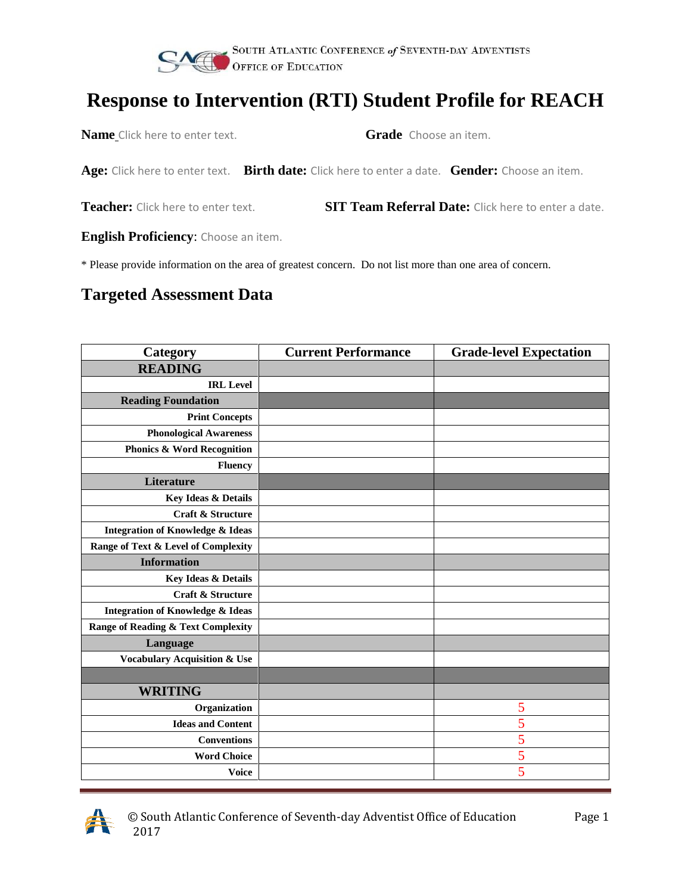

**Name** Click here to enter text. **Grade** Choose an item.

**Age:** Click here to enter text. **Birth date:** Click here to enter a date. **Gender:** Choose an item.

**Teacher:** Click here to enter text. **SIT Team Referral Date:** Click here to enter a date.

**English Proficiency**: Choose an item.

\* Please provide information on the area of greatest concern. Do not list more than one area of concern.

#### **Targeted Assessment Data**

| <b>Category</b>                             | <b>Current Performance</b> | <b>Grade-level Expectation</b> |
|---------------------------------------------|----------------------------|--------------------------------|
| <b>READING</b>                              |                            |                                |
| <b>IRL</b> Level                            |                            |                                |
| <b>Reading Foundation</b>                   |                            |                                |
| <b>Print Concepts</b>                       |                            |                                |
| <b>Phonological Awareness</b>               |                            |                                |
| <b>Phonics &amp; Word Recognition</b>       |                            |                                |
| <b>Fluency</b>                              |                            |                                |
| Literature                                  |                            |                                |
| Key Ideas & Details                         |                            |                                |
| <b>Craft &amp; Structure</b>                |                            |                                |
| <b>Integration of Knowledge &amp; Ideas</b> |                            |                                |
| Range of Text & Level of Complexity         |                            |                                |
| <b>Information</b>                          |                            |                                |
| Key Ideas & Details                         |                            |                                |
| Craft & Structure                           |                            |                                |
| <b>Integration of Knowledge &amp; Ideas</b> |                            |                                |
| Range of Reading & Text Complexity          |                            |                                |
| Language                                    |                            |                                |
| <b>Vocabulary Acquisition &amp; Use</b>     |                            |                                |
|                                             |                            |                                |
| <b>WRITING</b>                              |                            |                                |
| Organization                                |                            | 5                              |
| <b>Ideas and Content</b>                    |                            | 5                              |
| <b>Conventions</b>                          |                            | 5                              |
| <b>Word Choice</b>                          |                            | 5                              |
| <b>Voice</b>                                |                            | $\overline{5}$                 |

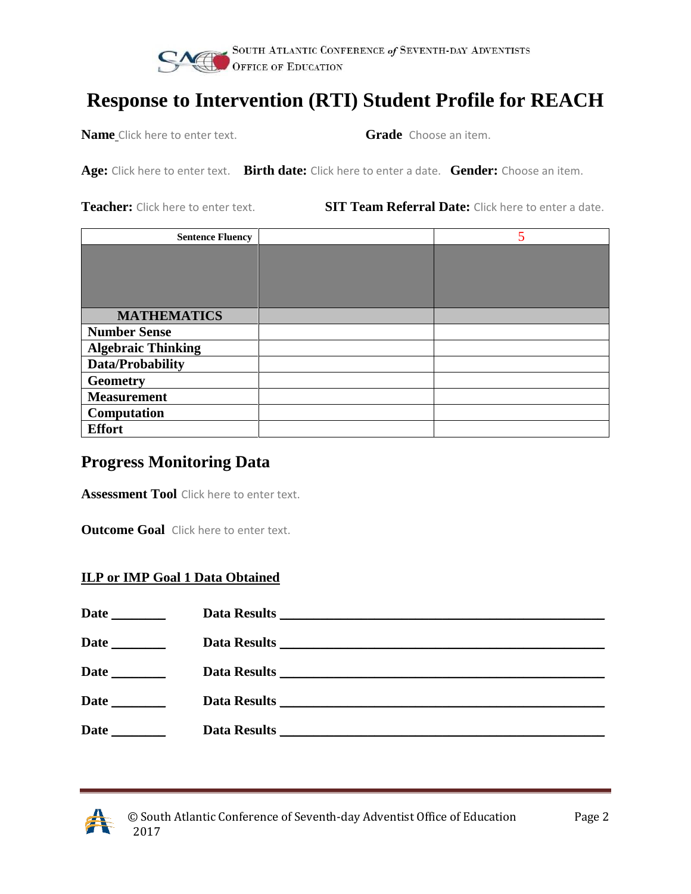

**Name** Click here to enter text. **Grade** Choose an item.

**Age:** Click here to enter text. **Birth date:** Click here to enter a date. **Gender:** Choose an item.

**Teacher:** Click here to enter text. **SIT Team Referral Date:** Click here to enter a date.

| <b>Sentence Fluency</b>   |  |
|---------------------------|--|
|                           |  |
|                           |  |
|                           |  |
|                           |  |
| <b>MATHEMATICS</b>        |  |
| <b>Number Sense</b>       |  |
| <b>Algebraic Thinking</b> |  |
| <b>Data/Probability</b>   |  |
| <b>Geometry</b>           |  |
| <b>Measurement</b>        |  |
| Computation               |  |
| <b>Effort</b>             |  |

#### **Progress Monitoring Data**

**Assessment Tool** Click here to enter text.

**Outcome Goal** Click here to enter text.

#### **ILP or IMP Goal 1 Data Obtained**

| <b>Date</b>                        |  |
|------------------------------------|--|
|                                    |  |
| <b>Date</b>                        |  |
| Date<br>$\mathcal{L}^{\text{max}}$ |  |
|                                    |  |

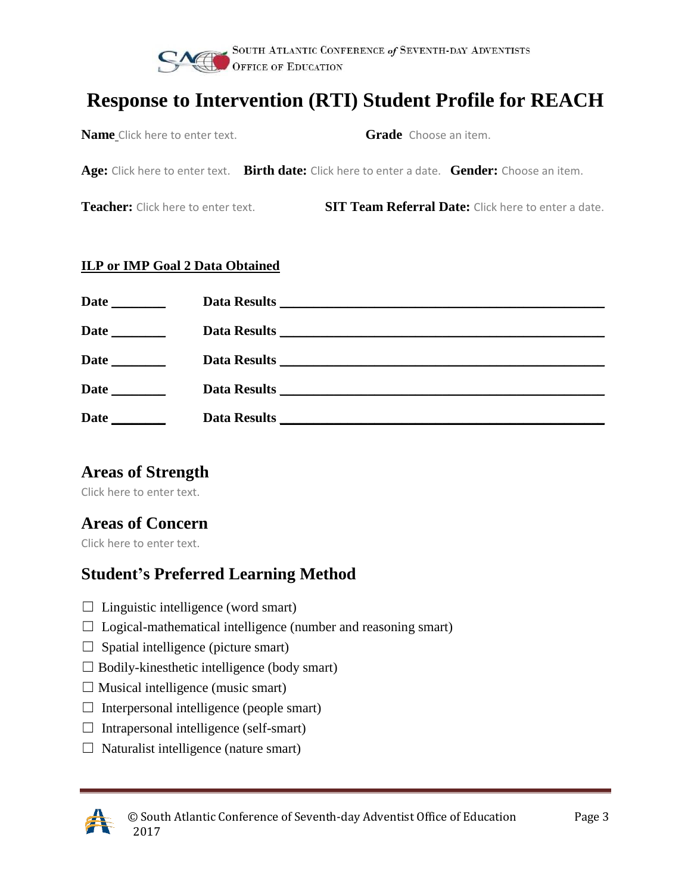

| <b>Name</b> Click here to enter text. | <b>Grade</b> Choose an item. |
|---------------------------------------|------------------------------|
|                                       |                              |

**Age:** Click here to enter text. **Birth date:** Click here to enter a date. **Gender:** Choose an item.

**Teacher:** Click here to enter text. **SIT Team Referral Date:** Click here to enter a date.

#### **ILP or IMP Goal 2 Data Obtained**

| Date<br>$\mathcal{L}(\mathcal{L}^{\mathcal{L}})$ . The set of $\mathcal{L}^{\mathcal{L}}$ |                                                                                                                       |
|-------------------------------------------------------------------------------------------|-----------------------------------------------------------------------------------------------------------------------|
| Date<br><u> 1999 - Jan Jan Jawa</u>                                                       |                                                                                                                       |
| Date                                                                                      | <b>Data Results</b>                                                                                                   |
| Date                                                                                      | <b>Data Results</b>                                                                                                   |
| Date                                                                                      | <b>Data Results</b>                                                                                                   |
|                                                                                           | <u> 1989 - Johann Stein, mars an de Frankrik en fan de Frankrik fan de Frankrik en fan de Frankrik fan de Frankri</u> |

#### **Areas of Strength**

Click here to enter text.

#### **Areas of Concern**

Click here to enter text.

#### **Student's Preferred Learning Method**

- $\Box$  Linguistic intelligence (word smart)
- ☐ Logical-mathematical intelligence (number and reasoning smart)
- $\Box$  Spatial intelligence (picture smart)
- $\Box$  Bodily-kinesthetic intelligence (body smart)
- $\Box$  Musical intelligence (music smart)
- $\Box$  Interpersonal intelligence (people smart)
- $\Box$  Intrapersonal intelligence (self-smart)
- $\Box$  Naturalist intelligence (nature smart)

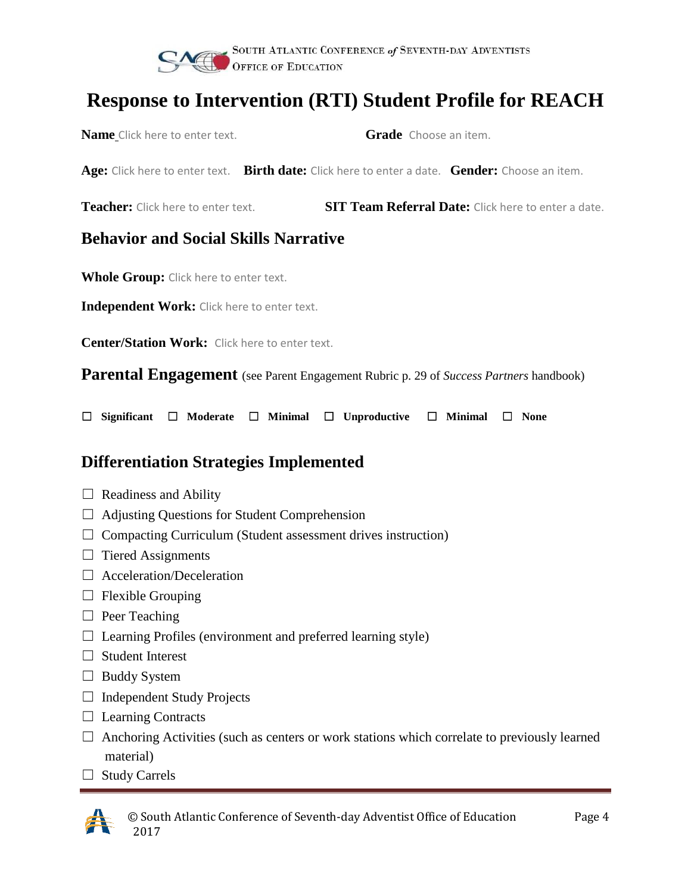

**Name** Click here to enter text. **Grade Choose an item.** 

|                                                       | Age: Click here to enter text. Birth date: Click here to enter a date. Gender: Choose an item. |                                                            |
|-------------------------------------------------------|------------------------------------------------------------------------------------------------|------------------------------------------------------------|
| <b>Teacher:</b> Click here to enter text.             |                                                                                                | <b>SIT Team Referral Date:</b> Click here to enter a date. |
| <b>Behavior and Social Skills Narrative</b>           |                                                                                                |                                                            |
| <b>Whole Group:</b> Click here to enter text.         |                                                                                                |                                                            |
| Independent Work: Click here to enter text.           |                                                                                                |                                                            |
| <b>Center/Station Work:</b> Click here to enter text. |                                                                                                |                                                            |
|                                                       | <b>Parental Engagement</b> (see Parent Engagement Rubric p. 29 of Success Partners handbook)   |                                                            |
| □<br><b>Significant</b><br>$\overline{\phantom{a}}$   | Moderate $\Box$ Minimal<br>Unproductive $\Box$<br>□                                            | <b>Minimal</b><br><b>None</b>                              |

#### **Differentiation Strategies Implemented**

- $\Box$  Readiness and Ability
- ☐ Adjusting Questions for Student Comprehension
- $\Box$  Compacting Curriculum (Student assessment drives instruction)
- $\Box$  Tiered Assignments
- ☐ Acceleration/Deceleration
- $\Box$  Flexible Grouping
- □ Peer Teaching
- $\Box$  Learning Profiles (environment and preferred learning style)
- □ Student Interest
- $\Box$  Buddy System
- $\Box$  Independent Study Projects
- $\Box$  Learning Contracts
- $\Box$  Anchoring Activities (such as centers or work stations which correlate to previously learned material)
- □ Study Carrels



© South Atlantic Conference of Seventh-day Adventist Office of Education Page 4 2017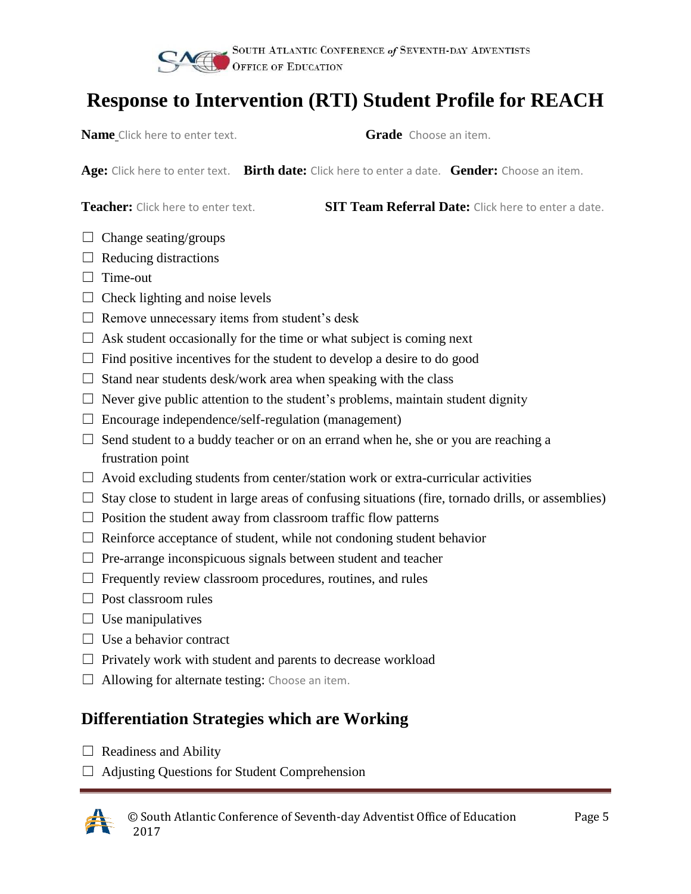

**Name** Click here to enter text. **Grade** Choose an item.

**Age:** Click here to enter text. **Birth date:** Click here to enter a date. **Gender:** Choose an item.

**Teacher:** Click here to enter text. **SIT Team Referral Date:** Click here to enter a date.

- $\Box$  Change seating/groups
- $\Box$  Reducing distractions
- □ Time-out
- $\Box$  Check lighting and noise levels
- $\Box$  Remove unnecessary items from student's desk
- $\Box$  Ask student occasionally for the time or what subject is coming next
- $\Box$  Find positive incentives for the student to develop a desire to do good
- $\Box$  Stand near students desk/work area when speaking with the class
- $\Box$  Never give public attention to the student's problems, maintain student dignity
- $\Box$  Encourage independence/self-regulation (management)
- $\Box$  Send student to a buddy teacher or on an errand when he, she or you are reaching a frustration point
- $\Box$  Avoid excluding students from center/station work or extra-curricular activities
- $\Box$  Stay close to student in large areas of confusing situations (fire, tornado drills, or assemblies)
- $\Box$  Position the student away from classroom traffic flow patterns
- $\Box$  Reinforce acceptance of student, while not condoning student behavior
- $\Box$  Pre-arrange inconspicuous signals between student and teacher
- $\Box$  Frequently review classroom procedures, routines, and rules
- $\Box$  Post classroom rules
- $\Box$  Use manipulatives
- $\Box$  Use a behavior contract
- $\Box$  Privately work with student and parents to decrease workload
- $\Box$  Allowing for alternate testing: Choose an item.

### **Differentiation Strategies which are Working**

- $\Box$  Readiness and Ability
- ☐ Adjusting Questions for Student Comprehension

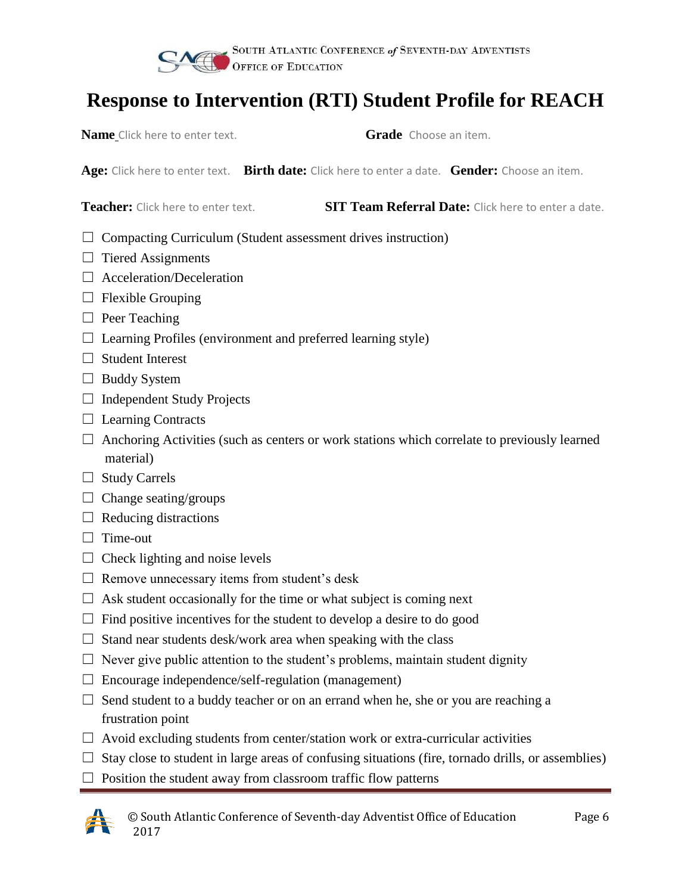

**Name** Click here to enter text. **Grade** Choose an item.

**Age:** Click here to enter text. **Birth date:** Click here to enter a date. **Gender:** Choose an item.

**Teacher:** Click here to enter text. **SIT Team Referral Date:** Click here to enter a date.

- $\Box$  Compacting Curriculum (Student assessment drives instruction)
- $\Box$  Tiered Assignments
- ☐ Acceleration/Deceleration
- $\Box$  Flexible Grouping
- □ Peer Teaching
- $\Box$  Learning Profiles (environment and preferred learning style)
- ☐ Student Interest
- □ Buddy System
- $\Box$  Independent Study Projects
- $\Box$  Learning Contracts
- $\Box$  Anchoring Activities (such as centers or work stations which correlate to previously learned material)
- ☐ Study Carrels
- $\Box$  Change seating/groups
- $\Box$  Reducing distractions
- □ Time-out
- $\Box$  Check lighting and noise levels
- $\Box$  Remove unnecessary items from student's desk
- $\Box$  Ask student occasionally for the time or what subject is coming next
- $\Box$  Find positive incentives for the student to develop a desire to do good
- $\Box$  Stand near students desk/work area when speaking with the class
- $\Box$  Never give public attention to the student's problems, maintain student dignity
- $\Box$  Encourage independence/self-regulation (management)
- $\Box$  Send student to a buddy teacher or on an errand when he, she or you are reaching a frustration point
- $\Box$  Avoid excluding students from center/station work or extra-curricular activities
- $\Box$  Stay close to student in large areas of confusing situations (fire, tornado drills, or assemblies)
- $\Box$  Position the student away from classroom traffic flow patterns

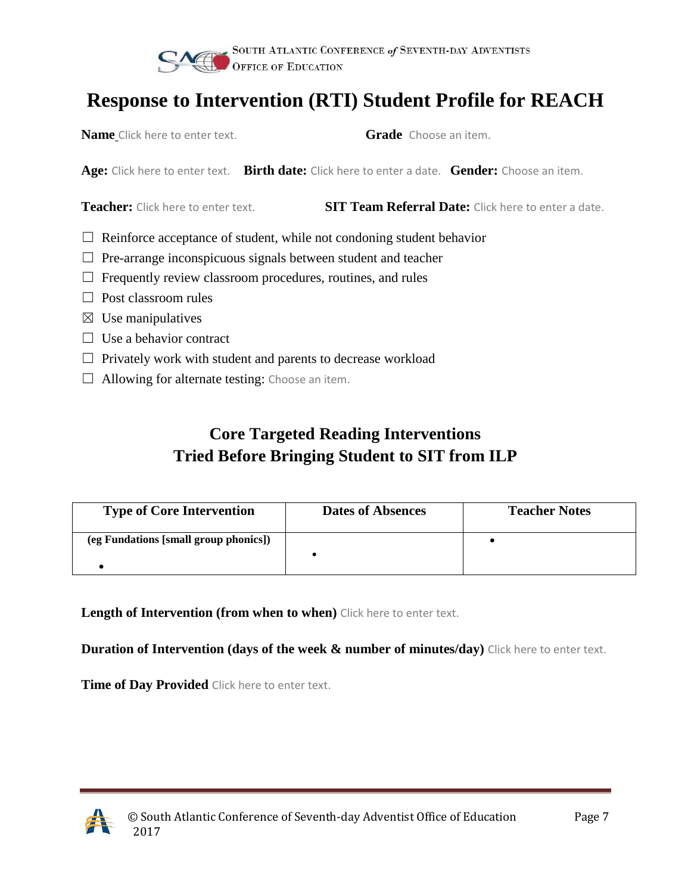

**Name** Click here to enter text. **Grade** Choose an item.

**Age:** Click here to enter text. **Birth date:** Click here to enter a date. **Gender:** Choose an item.

**Teacher:** Click here to enter text. **SIT Team Referral Date:** Click here to enter a date.

- $\Box$  Reinforce acceptance of student, while not condoning student behavior
- $\Box$  Pre-arrange inconspicuous signals between student and teacher
- $\Box$  Frequently review classroom procedures, routines, and rules
- □ Post classroom rules
- $\boxtimes$  Use manipulatives
- $\Box$  Use a behavior contract
- $\Box$  Privately work with student and parents to decrease workload
- $\Box$  Allowing for alternate testing: Choose an item.

### **Core Targeted Reading Interventions Tried Before Bringing Student to SIT from ILP**

| <b>Type of Core Intervention</b>      | <b>Dates of Absences</b> | <b>Teacher Notes</b> |
|---------------------------------------|--------------------------|----------------------|
| (eg Fundations [small group phonics]) |                          |                      |
|                                       |                          |                      |

**Length of Intervention (from when to when)** Click here to enter text.

**Duration of Intervention (days of the week & number of minutes/day)** Click here to enter text.

**Time of Day Provided** Click here to enter text.

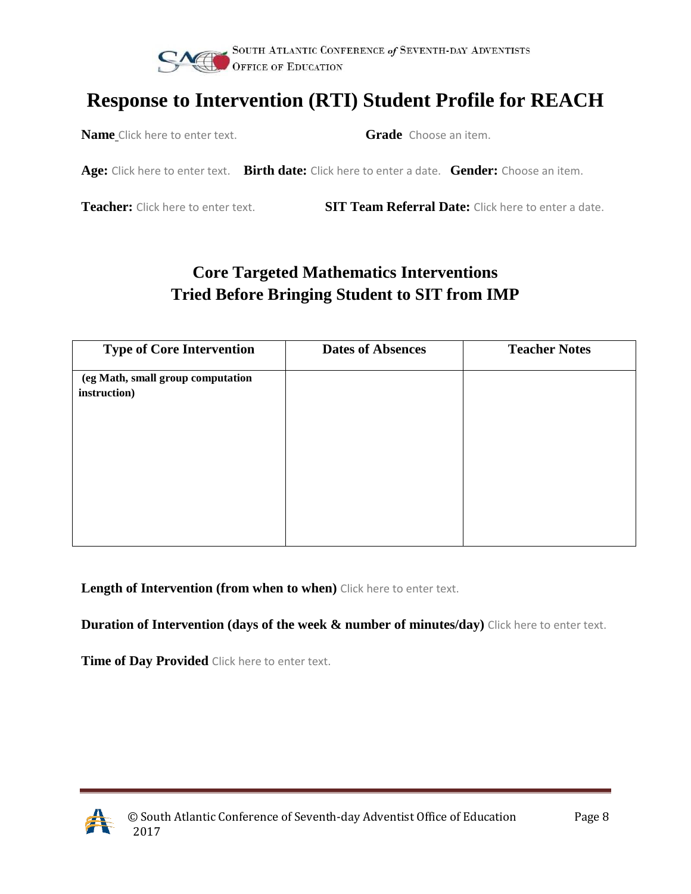

**Name** Click here to enter text. **Grade** Choose an item.

**Age:** Click here to enter text. **Birth date:** Click here to enter a date. **Gender:** Choose an item.

**Teacher:** Click here to enter text. **SIT Team Referral Date:** Click here to enter a date.

### **Core Targeted Mathematics Interventions Tried Before Bringing Student to SIT from IMP**

| <b>Type of Core Intervention</b>  | <b>Dates of Absences</b> | <b>Teacher Notes</b> |
|-----------------------------------|--------------------------|----------------------|
| (eg Math, small group computation |                          |                      |
| instruction)                      |                          |                      |
|                                   |                          |                      |
|                                   |                          |                      |
|                                   |                          |                      |
|                                   |                          |                      |
|                                   |                          |                      |
|                                   |                          |                      |

**Length of Intervention (from when to when)** Click here to enter text.

**Duration of Intervention (days of the week & number of minutes/day)** Click here to enter text.

**Time of Day Provided** Click here to enter text.

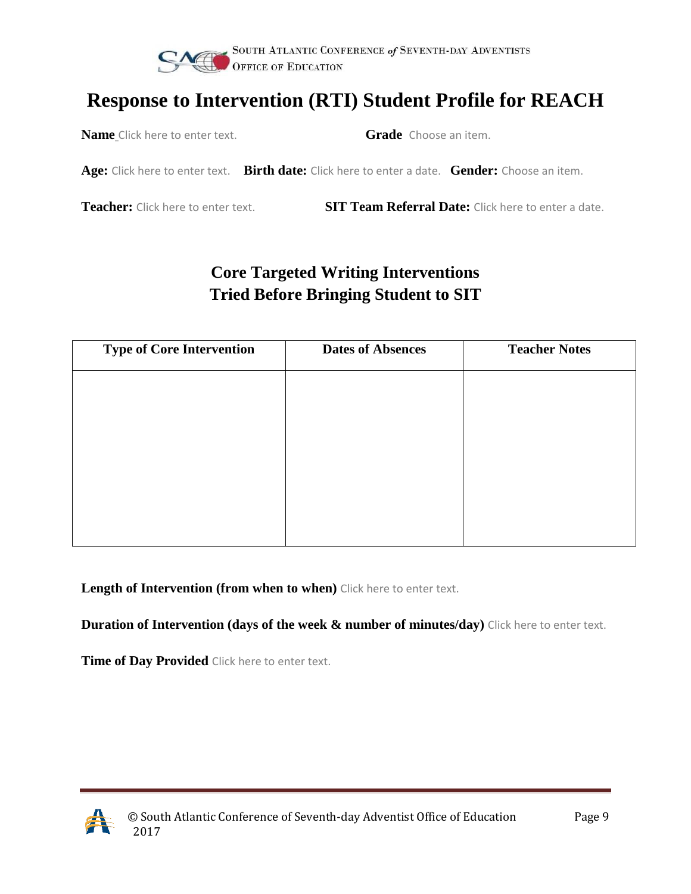

**Name** Click here to enter text. **Grade** Choose an item.

**Age:** Click here to enter text. **Birth date:** Click here to enter a date. **Gender:** Choose an item.

**Teacher:** Click here to enter text. **SIT Team Referral Date:** Click here to enter a date.

### **Core Targeted Writing Interventions Tried Before Bringing Student to SIT**

| <b>Type of Core Intervention</b> | <b>Dates of Absences</b> | <b>Teacher Notes</b> |
|----------------------------------|--------------------------|----------------------|
|                                  |                          |                      |
|                                  |                          |                      |
|                                  |                          |                      |
|                                  |                          |                      |
|                                  |                          |                      |
|                                  |                          |                      |
|                                  |                          |                      |

**Length of Intervention (from when to when)** Click here to enter text.

**Duration of Intervention (days of the week & number of minutes/day)** Click here to enter text.

**Time of Day Provided** Click here to enter text.

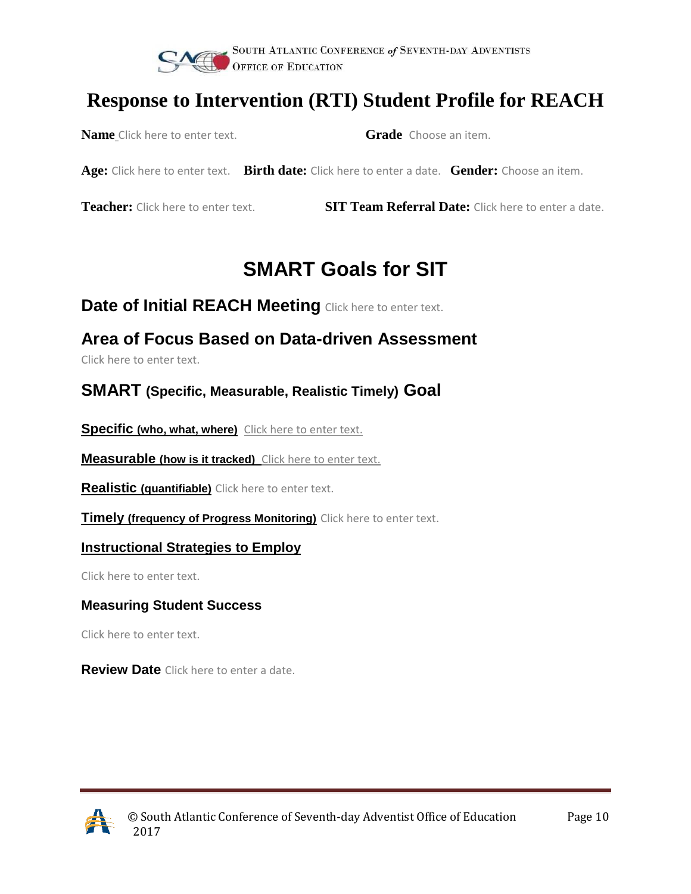

**Name** Click here to enter text. **Grade** Choose an item.

**Age:** Click here to enter text. **Birth date:** Click here to enter a date. **Gender:** Choose an item.

**Teacher:** Click here to enter text. **SIT Team Referral Date:** Click here to enter a date.

# **SMART Goals for SIT**

**Date of Initial REACH Meeting** Click here to enter text.

### **Area of Focus Based on Data-driven Assessment**

Click here to enter text.

#### **SMART (Specific, Measurable, Realistic Timely) Goal**

**Specific (who, what, where)** Click here to enter text.

**Measurable (how is it tracked)** Click here to enter text.

**Realistic (quantifiable)** Click here to enter text.

**Timely (frequency of Progress Monitoring)** Click here to enter text.

#### **Instructional Strategies to Employ**

Click here to enter text.

#### **Measuring Student Success**

Click here to enter text.

**Review Date** Click here to enter a date.